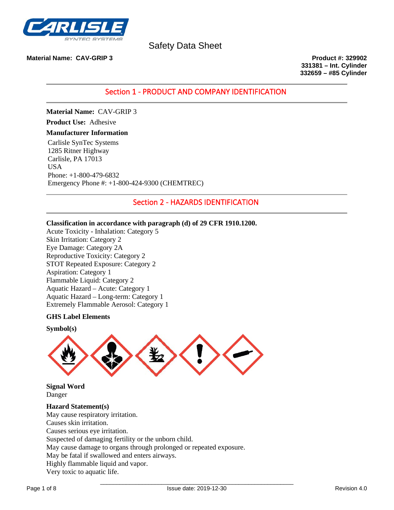

**Material Name: CAV-GRIP 3 Product #: 329902**

**331381 – Int. Cylinder 332659 – #85 Cylinder**

Section 1 - PRODUCT AND COMPANY IDENTIFICATION

**Material Name:** CAV-GRIP 3

**Product Use:** Adhesive

### **Manufacturer Information**

Carlisle SynTec Systems 1285 Ritner Highway Carlisle, PA 17013 USA Phone: +1-800-479-6832 Emergency Phone #: +1-800-424-9300 (CHEMTREC)

# Section 2 - HAZARDS IDENTIFICATION

# **Classification in accordance with paragraph (d) of 29 CFR 1910.1200.**

Acute Toxicity - Inhalation: Category 5 Skin Irritation: Category 2 Eye Damage: Category 2A Reproductive Toxicity: Category 2 STOT Repeated Exposure: Category 2 Aspiration: Category 1 Flammable Liquid: Category 2 Aquatic Hazard – Acute: Category 1 Aquatic Hazard – Long-term: Category 1 Extremely Flammable Aerosol: Category 1

### **GHS Label Elements**





**Signal Word** Danger

**Hazard Statement(s)** May cause respiratory irritation. Causes skin irritation. Causes serious eye irritation. Suspected of damaging fertility or the unborn child. May cause damage to organs through prolonged or repeated exposure. May be fatal if swallowed and enters airways. Highly flammable liquid and vapor. Very toxic to aquatic life.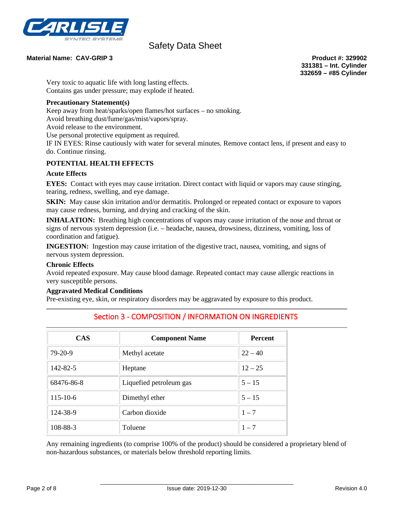

## **Material Name: CAV-GRIP 3 Product #: 329902**

**331381 – Int. Cylinder 332659 – #85 Cylinder**

Very toxic to aquatic life with long lasting effects. Contains gas under pressure; may explode if heated.

# **Precautionary Statement(s)**

Keep away from heat/sparks/open flames/hot surfaces – no smoking.

Avoid breathing dust/fume/gas/mist/vapors/spray.

Avoid release to the environment.

Use personal protective equipment as required.

IF IN EYES: Rinse cautiously with water for several minutes. Remove contact lens, if present and easy to do. Continue rinsing.

# **POTENTIAL HEALTH EFFECTS**

### **Acute Effects**

**EYES:** Contact with eyes may cause irritation. Direct contact with liquid or vapors may cause stinging, tearing, redness, swelling, and eye damage.

**SKIN:** May cause skin irritation and/or dermatitis. Prolonged or repeated contact or exposure to vapors may cause redness, burning, and drying and cracking of the skin.

**INHALATION:** Breathing high concentrations of vapors may cause irritation of the nose and throat or signs of nervous system depression (i.e. – headache, nausea, drowsiness, dizziness, vomiting, loss of coordination and fatigue).

**INGESTION:** Ingestion may cause irritation of the digestive tract, nausea, vomiting, and signs of nervous system depression.

### **Chronic Effects**

Avoid repeated exposure. May cause blood damage. Repeated contact may cause allergic reactions in very susceptible persons.

## **Aggravated Medical Conditions**

Pre-existing eye, skin, or respiratory disorders may be aggravated by exposure to this product.

| <b>CAS</b>     | <b>Component Name</b>   | <b>Percent</b> |
|----------------|-------------------------|----------------|
| $79-20-9$      | Methyl acetate          | $22 - 40$      |
| 142-82-5       | Heptane                 | $12 - 25$      |
| 68476-86-8     | Liquefied petroleum gas | $5 - 15$       |
| $115 - 10 - 6$ | Dimethyl ether          | $5 - 15$       |
| 124-38-9       | Carbon dioxide          | $1 - 7$        |
| 108-88-3       | Toluene                 | $1 - 7$        |

# Section 3 - COMPOSITION / INFORMATION ON INGREDIENTS

Any remaining ingredients (to comprise 100% of the product) should be considered a proprietary blend of non-hazardous substances, or materials below threshold reporting limits.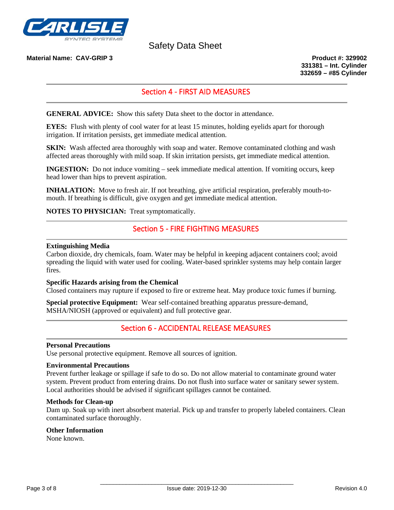

**Material Name: CAV-GRIP 3 Product #: 329902**

**331381 – Int. Cylinder 332659 – #85 Cylinder**

# Section 4 - FIRST AID MEASURES

**GENERAL ADVICE:** Show this safety Data sheet to the doctor in attendance.

**EYES:** Flush with plenty of cool water for at least 15 minutes, holding eyelids apart for thorough irrigation. If irritation persists, get immediate medical attention.

**SKIN:** Wash affected area thoroughly with soap and water. Remove contaminated clothing and wash affected areas thoroughly with mild soap. If skin irritation persists, get immediate medical attention.

**INGESTION:** Do not induce vomiting – seek immediate medical attention. If vomiting occurs, keep head lower than hips to prevent aspiration.

**INHALATION:** Move to fresh air. If not breathing, give artificial respiration, preferably mouth-tomouth. If breathing is difficult, give oxygen and get immediate medical attention.

**NOTES TO PHYSICIAN:** Treat symptomatically.

# Section 5 - FIRE FIGHTING MEASURES

#### **Extinguishing Media**

Carbon dioxide, dry chemicals, foam. Water may be helpful in keeping adjacent containers cool; avoid spreading the liquid with water used for cooling. Water-based sprinkler systems may help contain larger fires.

#### **Specific Hazards arising from the Chemical**

Closed containers may rupture if exposed to fire or extreme heat. May produce toxic fumes if burning.

**Special protective Equipment:** Wear self-contained breathing apparatus pressure-demand, MSHA/NIOSH (approved or equivalent) and full protective gear.

# Section 6 - ACCIDENTAL RELEASE MEASURES

#### **Personal Precautions**

Use personal protective equipment. Remove all sources of ignition.

#### **Environmental Precautions**

Prevent further leakage or spillage if safe to do so. Do not allow material to contaminate ground water system. Prevent product from entering drains. Do not flush into surface water or sanitary sewer system. Local authorities should be advised if significant spillages cannot be contained.

### **Methods for Clean-up**

Dam up. Soak up with inert absorbent material. Pick up and transfer to properly labeled containers. Clean contaminated surface thoroughly.

#### **Other Information**

None known.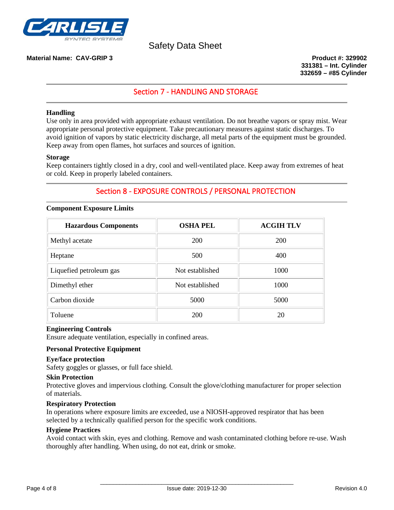

## **Material Name: CAV-GRIP 3 Product #: 329902**

**331381 – Int. Cylinder 332659 – #85 Cylinder**

# Section 7 - HANDLING AND STORAGE

### **Handling**

Use only in area provided with appropriate exhaust ventilation. Do not breathe vapors or spray mist. Wear appropriate personal protective equipment. Take precautionary measures against static discharges. To avoid ignition of vapors by static electricity discharge, all metal parts of the equipment must be grounded. Keep away from open flames, hot surfaces and sources of ignition.

#### **Storage**

Keep containers tightly closed in a dry, cool and well-ventilated place. Keep away from extremes of heat or cold. Keep in properly labeled containers.

# Section 8 - EXPOSURE CONTROLS / PERSONAL PROTECTION

#### **Component Exposure Limits**

| <b>Hazardous Components</b> | <b>OSHA PEL</b> | <b>ACGIH TLV</b> |
|-----------------------------|-----------------|------------------|
| Methyl acetate              | <b>200</b>      | <b>200</b>       |
| Heptane                     | 500             | 400              |
| Liquefied petroleum gas     | Not established | 1000             |
| Dimethyl ether              | Not established | 1000             |
| Carbon dioxide              | 5000            | 5000             |
| Toluene                     | 200             | 20               |

### **Engineering Controls**

Ensure adequate ventilation, especially in confined areas.

# **Personal Protective Equipment**

#### **Eye/face protection**

Safety goggles or glasses, or full face shield.

#### **Skin Protection**

Protective gloves and impervious clothing. Consult the glove/clothing manufacturer for proper selection of materials.

### **Respiratory Protection**

In operations where exposure limits are exceeded, use a NIOSH-approved respirator that has been selected by a technically qualified person for the specific work conditions.

#### **Hygiene Practices**

Avoid contact with skin, eyes and clothing. Remove and wash contaminated clothing before re-use. Wash thoroughly after handling. When using, do not eat, drink or smoke.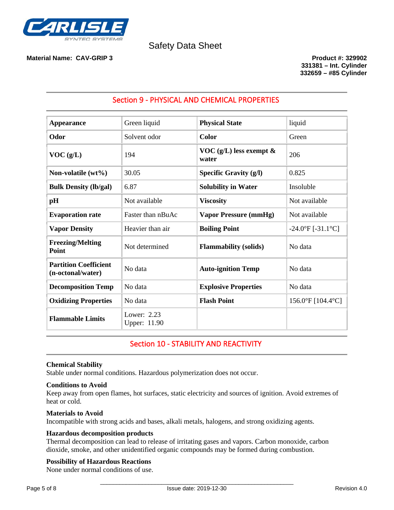

# **Material Name: CAV-GRIP 3 Product #: 329902**

**331381 – Int. Cylinder 332659 – #85 Cylinder**

| <b>Appearance</b>                                 | Green liquid                  | <b>Physical State</b>                 | liquid                   |
|---------------------------------------------------|-------------------------------|---------------------------------------|--------------------------|
| Odor                                              | Solvent odor                  | <b>Color</b>                          | Green                    |
| VOC(g/L)                                          | 194                           | VOC $(g/L)$ less exempt $\&$<br>water | 206                      |
| Non-volatile $(wt\%)$                             | 30.05                         | Specific Gravity $(g/l)$              | 0.825                    |
| <b>Bulk Density (lb/gal)</b>                      | 6.87                          | <b>Solubility in Water</b>            | Insoluble                |
| pH                                                | Not available                 | <b>Viscosity</b>                      | Not available            |
| <b>Evaporation rate</b>                           | Faster than nBuAc             | <b>Vapor Pressure (mmHg)</b>          | Not available            |
| <b>Vapor Density</b>                              | Heavier than air              | <b>Boiling Point</b>                  | $-24.0$ °F [ $-31.1$ °C] |
| <b>Freezing/Melting</b><br>Point                  | Not determined                | <b>Flammability</b> (solids)          | No data                  |
| <b>Partition Coefficient</b><br>(n-octonal/water) | No data                       | <b>Auto-ignition Temp</b>             | No data                  |
| <b>Decomposition Temp</b>                         | No data                       | <b>Explosive Properties</b>           | No data                  |
| <b>Oxidizing Properties</b>                       | No data                       | <b>Flash Point</b>                    | 156.0°F [104.4°C]        |
| <b>Flammable Limits</b>                           | Lower: $2.23$<br>Upper: 11.90 |                                       |                          |

# Section 9 - PHYSICAL AND CHEMICAL PROPERTIES

# Section 10 - STABILITY AND REACTIVITY

# **Chemical Stability**

Stable under normal conditions. Hazardous polymerization does not occur.

### **Conditions to Avoid**

Keep away from open flames, hot surfaces, static electricity and sources of ignition. Avoid extremes of heat or cold.

### **Materials to Avoid**

Incompatible with strong acids and bases, alkali metals, halogens, and strong oxidizing agents.

# **Hazardous decomposition products**

Thermal decomposition can lead to release of irritating gases and vapors. Carbon monoxide, carbon dioxide, smoke, and other unidentified organic compounds may be formed during combustion.

# **Possibility of Hazardous Reactions**

None under normal conditions of use.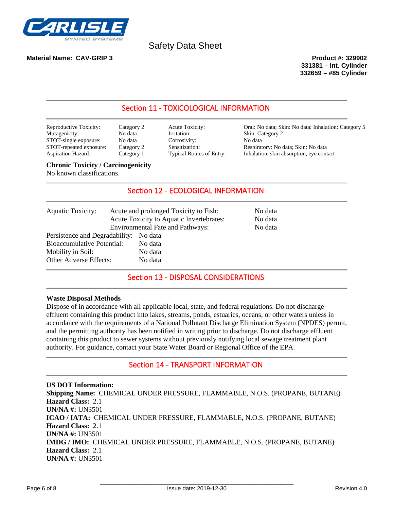

# **Material Name: CAV-GRIP 3 Product #: 329902**

**331381 – Int. Cylinder 332659 – #85 Cylinder**

# Section 11 - TOXICOLOGICAL INFORMATION

| Reproductive Toxicity:    | Cate |
|---------------------------|------|
| Mutagenicity:             | No c |
| STOT-single exposure:     | No c |
| STOT-repeated exposure:   | Cate |
| <b>Aspiration Hazard:</b> | Cate |

data Irritation: Skin: Category 2 STOT-single exposure exponential exposure exposure that the exponential exponential exponential exponential exponential exponential exponential exponential exponential exponential exponential exponential exponential expone

example Toxicity: Category 2 Acute Toxicity: Oral: No data; Skin: No data; Inhalation: Category 5 Sensitization: Respiratory: No data; Skin: No data<br>Typical Routes of Entry: Inhalation, skin absorption, eye cont Aspiration Hazard: Category 1 Typical Routes of Entry: Inhalation, skin absorption, eye contact

# **Chronic Toxicity / Carcinogenicity**

No known classifications.

# Section 12 - ECOLOGICAL INFORMATION

| <b>Aquatic Toxicity:</b>                                                                                                   | Acute and prolonged Toxicity to Fish:<br>Acute Toxicity to Aquatic Invertebrates:<br><b>Environmental Fate and Pathways:</b> | No data<br>No data<br>No data |
|----------------------------------------------------------------------------------------------------------------------------|------------------------------------------------------------------------------------------------------------------------------|-------------------------------|
| Persistence and Degradability: No data<br><b>Bioaccumulative Potential:</b><br>Mobility in Soil:<br>Other Adverse Effects: | No data<br>No data<br>No data                                                                                                |                               |

# Section 13 - DISPOSAL CONSIDERATIONS

### **Waste Disposal Methods**

Dispose of in accordance with all applicable local, state, and federal regulations. Do not discharge effluent containing this product into lakes, streams, ponds, estuaries, oceans, or other waters unless in accordance with the requirements of a National Pollutant Discharge Elimination System (NPDES) permit, and the permitting authority has been notified in writing prior to discharge. Do not discharge effluent containing this product to sewer systems without previously notifying local sewage treatment plant authority. For guidance, contact your State Water Board or Regional Office of the EPA.

# Section 14 - TRANSPORT INFORMATION

**US DOT Information: Shipping Name:** CHEMICAL UNDER PRESSURE, FLAMMABLE, N.O.S. (PROPANE, BUTANE) **Hazard Class:** 2.1 **UN/NA #:** UN3501 **ICAO / IATA:** CHEMICAL UNDER PRESSURE, FLAMMABLE, N.O.S. (PROPANE, BUTANE) **Hazard Class:** 2.1 **UN/NA #:** UN3501 **IMDG / IMO:** CHEMICAL UNDER PRESSURE, FLAMMABLE, N.O.S. (PROPANE, BUTANE) **Hazard Class:** 2.1 **UN/NA #:** UN3501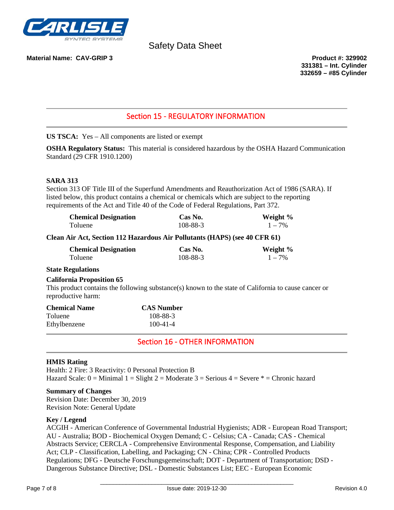

## **Material Name: CAV-GRIP 3 Product #: 329902**

**331381 – Int. Cylinder 332659 – #85 Cylinder**

# Section 15 - REGULATORY INFORMATION

**US TSCA:** Yes – All components are listed or exempt

**OSHA Regulatory Status:** This material is considered hazardous by the OSHA Hazard Communication Standard (29 CFR 1910.1200)

### **SARA 313**

Section 313 OF Title III of the Superfund Amendments and Reauthorization Act of 1986 (SARA). If listed below, this product contains a chemical or chemicals which are subject to the reporting requirements of the Act and Title 40 of the Code of Federal Regulations, Part 372.

| <b>Chemical Designation</b> | Cas No.  | Weight %  |
|-----------------------------|----------|-----------|
| Toluene                     | 108-88-3 | $1 - 7\%$ |

### **Clean Air Act, Section 112 Hazardous Air Pollutants (HAPS) (see 40 CFR 61)**

| <b>Chemical Designation</b> | Cas No.  | Weight %  |
|-----------------------------|----------|-----------|
| Toluene                     | 108-88-3 | $1 - 7\%$ |

## **State Regulations**

### **California Proposition 65**

This product contains the following substance(s) known to the state of California to cause cancer or reproductive harm:

| <b>Chemical Name</b> | <b>CAS Number</b> |  |
|----------------------|-------------------|--|
| Toluene              | 108-88-3          |  |
| Ethylbenzene         | $100 - 41 - 4$    |  |

# Section 16 - OTHER INFORMATION

### **HMIS Rating**

Health: 2 Fire: 3 Reactivity: 0 Personal Protection B Hazard Scale:  $0 =$  Minimal  $1 =$  Slight  $2 =$  Moderate  $3 =$  Serious  $4 =$  Severe  $* =$  Chronic hazard

#### **Summary of Changes**

Revision Date: December 30, 2019 Revision Note: General Update

#### **Key / Legend**

ACGIH - American Conference of Governmental Industrial Hygienists; ADR - European Road Transport; AU - Australia; BOD - Biochemical Oxygen Demand; C - Celsius; CA - Canada; CAS - Chemical Abstracts Service; CERCLA - Comprehensive Environmental Response, Compensation, and Liability Act; CLP - Classification, Labelling, and Packaging; CN - China; CPR - Controlled Products Regulations; DFG - Deutsche Forschungsgemeinschaft; DOT - Department of Transportation; DSD - Dangerous Substance Directive; DSL - Domestic Substances List; EEC - European Economic